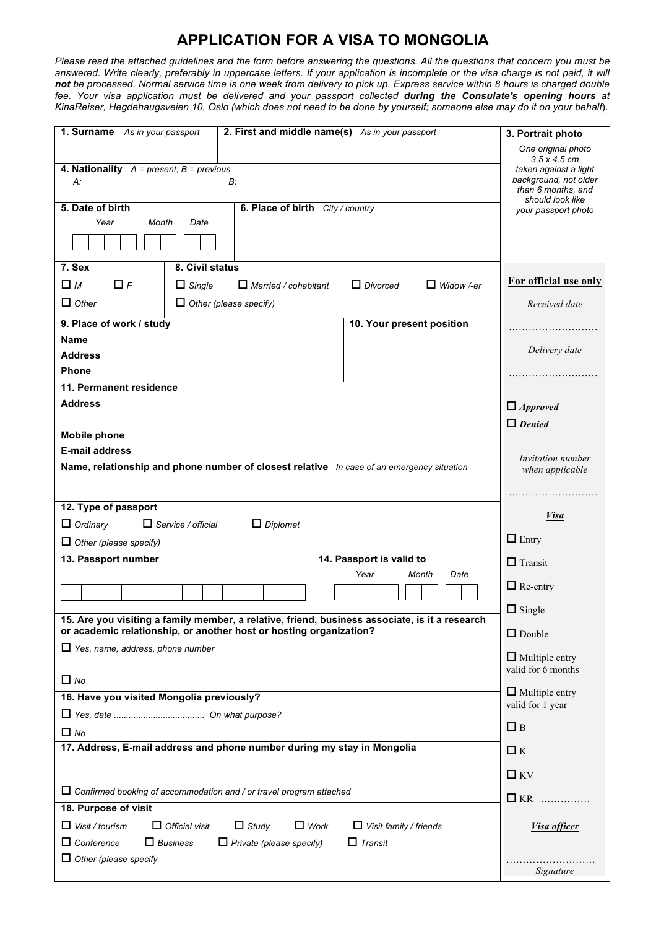# **APPLICATION FOR A VISA TO MONGOLIA**

*Please read the attached guidelines and the form before answering the questions. All the questions that concern you must be answered. Write clearly, preferably in uppercase letters. If your application is incomplete or the visa charge is not paid, it will not be processed. Normal service time is one week from delivery to pick up. Express service within 8 hours is charged double fee. Your visa application must be delivered and your passport collected during the Consulate's opening hours at KinaReiser, Hegdehaugsveien 10, Oslo (which does not need to be done by yourself; someone else may do it on your behalf*).

| <b>1. Surname</b> As in your passport                                                                                                                                | 2. First and middle name(s) As in your passport | 3. Portrait photo                                 |                                         |
|----------------------------------------------------------------------------------------------------------------------------------------------------------------------|-------------------------------------------------|---------------------------------------------------|-----------------------------------------|
|                                                                                                                                                                      | One original photo<br>$3.5 \times 4.5$ cm       |                                                   |                                         |
| <b>4. Nationality</b> $A = present$ ; $B = previous$<br>B:<br>A:                                                                                                     | taken against a light<br>background, not older  |                                                   |                                         |
|                                                                                                                                                                      |                                                 | than 6 months, and                                |                                         |
| 5. Date of birth                                                                                                                                                     | 6. Place of birth City / country                |                                                   | should look like<br>your passport photo |
| Year<br>Month<br>Date                                                                                                                                                |                                                 |                                                   |                                         |
|                                                                                                                                                                      |                                                 |                                                   |                                         |
| 7. Sex<br>8. Civil status                                                                                                                                            |                                                 |                                                   |                                         |
| $\Box$ M<br>$\Box$ F<br>$\Box$ Single<br>$\Box$ Married / cohabitant<br>$\Box$ Divorced<br>$\Box$ Widow /-er                                                         |                                                 |                                                   | For official use only                   |
| $\Box$ Other<br>$\Box$ Other (please specify)                                                                                                                        | Received date                                   |                                                   |                                         |
| 9. Place of work / study                                                                                                                                             |                                                 | 10. Your present position                         |                                         |
| <b>Name</b>                                                                                                                                                          |                                                 |                                                   |                                         |
| <b>Address</b>                                                                                                                                                       |                                                 |                                                   | Delivery date                           |
| <b>Phone</b>                                                                                                                                                         |                                                 |                                                   |                                         |
| 11. Permanent residence                                                                                                                                              |                                                 |                                                   |                                         |
| <b>Address</b>                                                                                                                                                       |                                                 |                                                   | $\Box$ Approved                         |
| <b>Mobile phone</b>                                                                                                                                                  |                                                 |                                                   | $\Box$ Denied                           |
| <b>E-mail address</b>                                                                                                                                                |                                                 |                                                   |                                         |
| Name, relationship and phone number of closest relative In case of an emergency situation                                                                            | <i>Invitation number</i><br>when applicable     |                                                   |                                         |
|                                                                                                                                                                      |                                                 |                                                   |                                         |
| 12. Type of passport                                                                                                                                                 |                                                 |                                                   |                                         |
| $\Box$ Ordinary<br>$\Box$ Service / official<br>$\Box$ Diplomat                                                                                                      |                                                 |                                                   | <i>Visa</i>                             |
| $\Box$ Other (please specify)                                                                                                                                        |                                                 | $\Box$ Entry                                      |                                         |
| 13. Passport number                                                                                                                                                  | $\Box$ Transit                                  |                                                   |                                         |
|                                                                                                                                                                      |                                                 | 14. Passport is valid to<br>Year<br>Month<br>Date |                                         |
|                                                                                                                                                                      |                                                 |                                                   | $\Box$ Re-entry                         |
|                                                                                                                                                                      | $\Box$ Single                                   |                                                   |                                         |
| 15. Are you visiting a family member, a relative, friend, business associate, is it a research<br>or academic relationship, or another host or hosting organization? |                                                 |                                                   | $\Box$ Double                           |
| $\Box$ Yes, name, address, phone number                                                                                                                              | $\Box$ Multiple entry<br>valid for 6 months     |                                                   |                                         |
| $\Box$ No                                                                                                                                                            |                                                 |                                                   | $\Box$ Multiple entry                   |
| 16. Have you visited Mongolia previously?                                                                                                                            | valid for 1 year                                |                                                   |                                         |
|                                                                                                                                                                      | $\square$ B                                     |                                                   |                                         |
| $\Box$ No<br>17. Address, E-mail address and phone number during my stay in Mongolia                                                                                 |                                                 |                                                   |                                         |
|                                                                                                                                                                      | $\Box K$                                        |                                                   |                                         |
|                                                                                                                                                                      | $\Box$ KV                                       |                                                   |                                         |
| $\Box$ Confirmed booking of accommodation and / or travel program attached                                                                                           | $\Box$ KR                                       |                                                   |                                         |
| 18. Purpose of visit                                                                                                                                                 |                                                 |                                                   |                                         |
| $\Box$ Visit / tourism<br>$\Box$ Official visit                                                                                                                      | Visa officer                                    |                                                   |                                         |
| $\Box$ Conference<br>$\Box$ Business<br>$\Box$ Private (please specify)                                                                                              |                                                 |                                                   |                                         |
| $\Box$ Other (please specify                                                                                                                                         | Signature                                       |                                                   |                                         |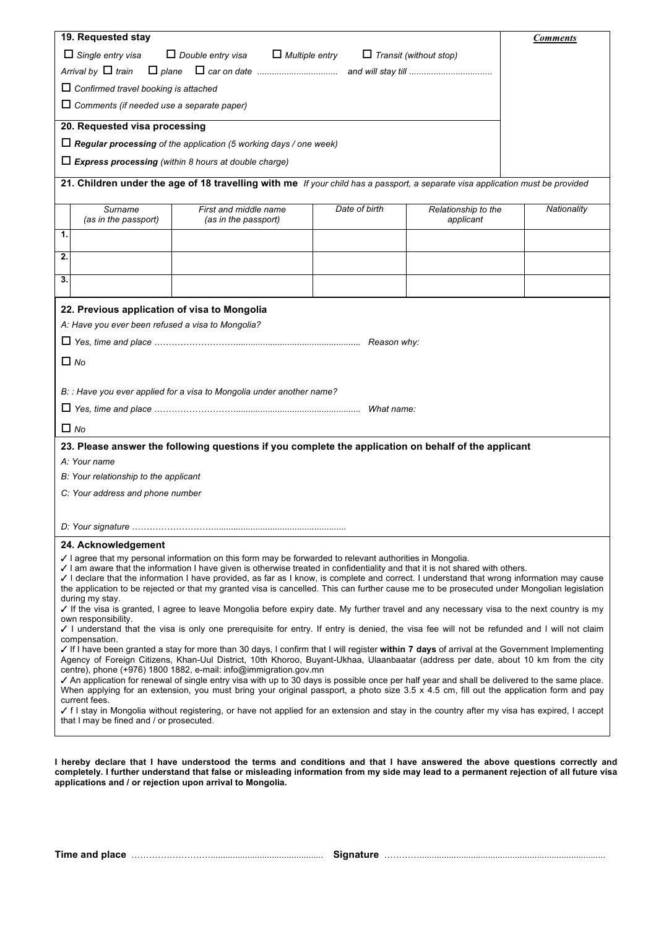|                                                                                                                                                                                                                                                                                                                                                                                                                                                                                                                                                                                                                                                                                                      | 19. Requested stay                                |                                                                                                                                |               |                                  | <b>Comments</b> |  |  |
|------------------------------------------------------------------------------------------------------------------------------------------------------------------------------------------------------------------------------------------------------------------------------------------------------------------------------------------------------------------------------------------------------------------------------------------------------------------------------------------------------------------------------------------------------------------------------------------------------------------------------------------------------------------------------------------------------|---------------------------------------------------|--------------------------------------------------------------------------------------------------------------------------------|---------------|----------------------------------|-----------------|--|--|
| $\Box$ Single entry visa<br>$\Box$ Double entry visa<br>$\Box$ Multiple entry<br>$\Box$ Transit (without stop)                                                                                                                                                                                                                                                                                                                                                                                                                                                                                                                                                                                       |                                                   |                                                                                                                                |               |                                  |                 |  |  |
| Arrival by $\Box$ train                                                                                                                                                                                                                                                                                                                                                                                                                                                                                                                                                                                                                                                                              |                                                   |                                                                                                                                |               |                                  |                 |  |  |
|                                                                                                                                                                                                                                                                                                                                                                                                                                                                                                                                                                                                                                                                                                      | $\Box$ Confirmed travel booking is attached       |                                                                                                                                |               |                                  |                 |  |  |
|                                                                                                                                                                                                                                                                                                                                                                                                                                                                                                                                                                                                                                                                                                      | $\Box$ Comments (if needed use a separate paper)  |                                                                                                                                |               |                                  |                 |  |  |
|                                                                                                                                                                                                                                                                                                                                                                                                                                                                                                                                                                                                                                                                                                      | 20. Requested visa processing                     |                                                                                                                                |               |                                  |                 |  |  |
|                                                                                                                                                                                                                                                                                                                                                                                                                                                                                                                                                                                                                                                                                                      |                                                   | $\Box$ Regular processing of the application (5 working days / one week)                                                       |               |                                  |                 |  |  |
|                                                                                                                                                                                                                                                                                                                                                                                                                                                                                                                                                                                                                                                                                                      |                                                   | $\Box$ Express processing (within 8 hours at double charge)                                                                    |               |                                  |                 |  |  |
|                                                                                                                                                                                                                                                                                                                                                                                                                                                                                                                                                                                                                                                                                                      |                                                   |                                                                                                                                |               |                                  |                 |  |  |
|                                                                                                                                                                                                                                                                                                                                                                                                                                                                                                                                                                                                                                                                                                      |                                                   | 21. Children under the age of 18 travelling with me If your child has a passport, a separate visa application must be provided |               |                                  |                 |  |  |
|                                                                                                                                                                                                                                                                                                                                                                                                                                                                                                                                                                                                                                                                                                      | Surname<br>(as in the passport)                   | First and middle name<br>(as in the passport)                                                                                  | Date of birth | Relationship to the<br>applicant | Nationality     |  |  |
| 1.                                                                                                                                                                                                                                                                                                                                                                                                                                                                                                                                                                                                                                                                                                   |                                                   |                                                                                                                                |               |                                  |                 |  |  |
| 2.                                                                                                                                                                                                                                                                                                                                                                                                                                                                                                                                                                                                                                                                                                   |                                                   |                                                                                                                                |               |                                  |                 |  |  |
| 3.                                                                                                                                                                                                                                                                                                                                                                                                                                                                                                                                                                                                                                                                                                   |                                                   |                                                                                                                                |               |                                  |                 |  |  |
|                                                                                                                                                                                                                                                                                                                                                                                                                                                                                                                                                                                                                                                                                                      |                                                   |                                                                                                                                |               |                                  |                 |  |  |
|                                                                                                                                                                                                                                                                                                                                                                                                                                                                                                                                                                                                                                                                                                      | 22. Previous application of visa to Mongolia      |                                                                                                                                |               |                                  |                 |  |  |
|                                                                                                                                                                                                                                                                                                                                                                                                                                                                                                                                                                                                                                                                                                      | A: Have you ever been refused a visa to Mongolia? |                                                                                                                                |               |                                  |                 |  |  |
|                                                                                                                                                                                                                                                                                                                                                                                                                                                                                                                                                                                                                                                                                                      |                                                   |                                                                                                                                |               |                                  |                 |  |  |
|                                                                                                                                                                                                                                                                                                                                                                                                                                                                                                                                                                                                                                                                                                      | $\Box$ No                                         |                                                                                                                                |               |                                  |                 |  |  |
|                                                                                                                                                                                                                                                                                                                                                                                                                                                                                                                                                                                                                                                                                                      |                                                   |                                                                                                                                |               |                                  |                 |  |  |
|                                                                                                                                                                                                                                                                                                                                                                                                                                                                                                                                                                                                                                                                                                      |                                                   | B: : Have you ever applied for a visa to Mongolia under another name?                                                          |               |                                  |                 |  |  |
|                                                                                                                                                                                                                                                                                                                                                                                                                                                                                                                                                                                                                                                                                                      |                                                   |                                                                                                                                |               |                                  |                 |  |  |
| $\Box$ No                                                                                                                                                                                                                                                                                                                                                                                                                                                                                                                                                                                                                                                                                            |                                                   |                                                                                                                                |               |                                  |                 |  |  |
| 23. Please answer the following questions if you complete the application on behalf of the applicant                                                                                                                                                                                                                                                                                                                                                                                                                                                                                                                                                                                                 |                                                   |                                                                                                                                |               |                                  |                 |  |  |
|                                                                                                                                                                                                                                                                                                                                                                                                                                                                                                                                                                                                                                                                                                      | A: Your name                                      |                                                                                                                                |               |                                  |                 |  |  |
| B: Your relationship to the applicant                                                                                                                                                                                                                                                                                                                                                                                                                                                                                                                                                                                                                                                                |                                                   |                                                                                                                                |               |                                  |                 |  |  |
| C: Your address and phone number                                                                                                                                                                                                                                                                                                                                                                                                                                                                                                                                                                                                                                                                     |                                                   |                                                                                                                                |               |                                  |                 |  |  |
|                                                                                                                                                                                                                                                                                                                                                                                                                                                                                                                                                                                                                                                                                                      |                                                   |                                                                                                                                |               |                                  |                 |  |  |
|                                                                                                                                                                                                                                                                                                                                                                                                                                                                                                                                                                                                                                                                                                      |                                                   |                                                                                                                                |               |                                  |                 |  |  |
|                                                                                                                                                                                                                                                                                                                                                                                                                                                                                                                                                                                                                                                                                                      | 24. Acknowledgement                               |                                                                                                                                |               |                                  |                 |  |  |
| √ I agree that my personal information on this form may be forwarded to relevant authorities in Mongolia.<br>I am aware that the information I have given is otherwise treated in confidentiality and that it is not shared with others.<br>I declare that the information I have provided, as far as I know, is complete and correct. I understand that wrong information may cause<br>the application to be rejected or that my granted visa is cancelled. This can further cause me to be prosecuted under Mongolian legislation<br>during my stay.<br>√ If the visa is granted, I agree to leave Mongolia before expiry date. My further travel and any necessary visa to the next country is my |                                                   |                                                                                                                                |               |                                  |                 |  |  |
| own responsibility.                                                                                                                                                                                                                                                                                                                                                                                                                                                                                                                                                                                                                                                                                  |                                                   |                                                                                                                                |               |                                  |                 |  |  |
| I understand that the visa is only one prerequisite for entry. If entry is denied, the visa fee will not be refunded and I will not claim<br>compensation.                                                                                                                                                                                                                                                                                                                                                                                                                                                                                                                                           |                                                   |                                                                                                                                |               |                                  |                 |  |  |
| If I have been granted a stay for more than 30 days, I confirm that I will register within 7 days of arrival at the Government Implementing<br>Agency of Foreign Citizens, Khan-Uul District, 10th Khoroo, Buyant-Ukhaa, Ulaanbaatar (address per date, about 10 km from the city                                                                                                                                                                                                                                                                                                                                                                                                                    |                                                   |                                                                                                                                |               |                                  |                 |  |  |
| centre), phone (+976) 1800 1882, e-mail: info@immigration.gov.mn                                                                                                                                                                                                                                                                                                                                                                                                                                                                                                                                                                                                                                     |                                                   |                                                                                                                                |               |                                  |                 |  |  |
| √ An application for renewal of single entry visa with up to 30 days is possible once per half year and shall be delivered to the same place.<br>When applying for an extension, you must bring your original passport, a photo size $3.5 \times 4.5$ cm, fill out the application form and pay                                                                                                                                                                                                                                                                                                                                                                                                      |                                                   |                                                                                                                                |               |                                  |                 |  |  |
| current fees.<br>√ f I stay in Mongolia without registering, or have not applied for an extension and stay in the country after my visa has expired, I accept<br>that I may be fined and / or prosecuted.                                                                                                                                                                                                                                                                                                                                                                                                                                                                                            |                                                   |                                                                                                                                |               |                                  |                 |  |  |
|                                                                                                                                                                                                                                                                                                                                                                                                                                                                                                                                                                                                                                                                                                      |                                                   |                                                                                                                                |               |                                  |                 |  |  |
|                                                                                                                                                                                                                                                                                                                                                                                                                                                                                                                                                                                                                                                                                                      |                                                   |                                                                                                                                |               |                                  |                 |  |  |

**I hereby declare that I have understood the terms and conditions and that I have answered the above questions correctly and completely. I further understand that false or misleading information from my side may lead to a permanent rejection of all future visa applications and / or rejection upon arrival to Mongolia.**

**Time and place** ……………………….............................................. **Signature** …………............................................................................